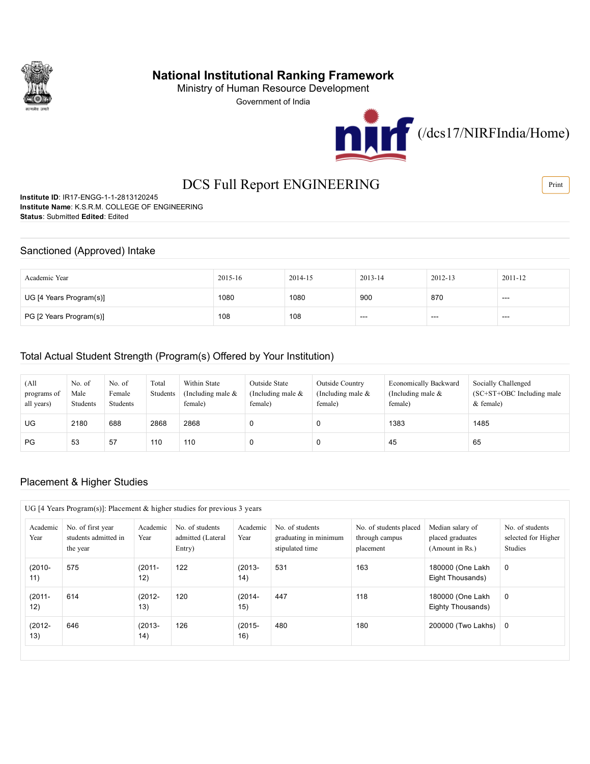

# National Institutional Ranking Framework

Ministry of Human Resource Development

Government of India



# DCS Full Report ENGINEERING

Institute ID: IR17-ENGG-1-1-2813120245 Institute Name: K.S.R.M. COLLEGE OF ENGINEERING Status: Submitted Edited: Edited

#### Sanctioned (Approved) Intake

| Academic Year           | $2015 - 16$ | 2014-15 | $2013 - 14$       | 2012-13 | 2011-12 |
|-------------------------|-------------|---------|-------------------|---------|---------|
| UG [4 Years Program(s)] | 1080        | 1080    | 900               | 870     | $- - -$ |
| PG [2 Years Program(s)] | 108         | 108     | $\qquad \qquad -$ | ---     | $- - -$ |

#### Total Actual Student Strength (Program(s) Offered by Your Institution)

| (All<br>programs of<br>all years) | No. of<br>Male<br>Students | No. of<br>Female<br>Students | Total<br>Students | Within State<br>(Including male $\&$<br>female) | Outside State<br>(Including male $\&$<br>female) | Outside Country<br>(Including male $\&$<br>female) | <b>Economically Backward</b><br>(Including male $\&$<br>female) | Socially Challenged<br>$SC+ST+OBC$ Including male<br>$&$ female) |
|-----------------------------------|----------------------------|------------------------------|-------------------|-------------------------------------------------|--------------------------------------------------|----------------------------------------------------|-----------------------------------------------------------------|------------------------------------------------------------------|
| UG.                               | 2180                       | 688                          | 2868              | 2868                                            | 0                                                |                                                    | 1383                                                            | 1485                                                             |
| <b>PG</b>                         | 53                         | 57                           | 110               | 110                                             | 0                                                |                                                    | 45                                                              | 65                                                               |

#### Placement & Higher Studies

| Academic<br>Year | No. of first year<br>students admitted in<br>the year | Academic<br>Year | No. of students<br>admitted (Lateral<br>Entry) | Academic<br>Year | No. of students<br>graduating in minimum<br>stipulated time | No. of students placed<br>through campus<br>placement | Median salary of<br>placed graduates<br>(Amount in Rs.) | No. of students<br>selected for Higher<br><b>Studies</b> |
|------------------|-------------------------------------------------------|------------------|------------------------------------------------|------------------|-------------------------------------------------------------|-------------------------------------------------------|---------------------------------------------------------|----------------------------------------------------------|
| $(2010 -$<br>11) | 575                                                   | $(2011 -$<br>12) | 122                                            | $(2013 -$<br>14) | 531                                                         | 163                                                   | 180000 (One Lakh<br>Eight Thousands)                    | 0                                                        |
| $(2011 -$<br>12) | 614                                                   | $(2012 -$<br>13) | 120                                            | $(2014 -$<br>15) | 447                                                         | 118                                                   | 180000 (One Lakh<br>Eighty Thousands)                   | 0                                                        |
| $(2012 -$<br>13) | 646                                                   | $(2013 -$<br>14) | 126                                            | $(2015 -$<br>16) | 480                                                         | 180                                                   | 200000 (Two Lakhs)                                      | - 0                                                      |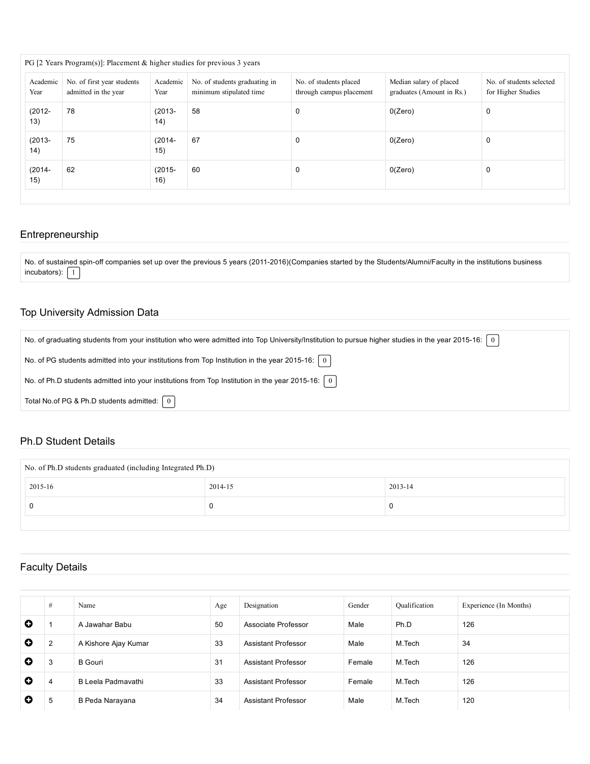| PG [2 Years Program(s)]: Placement $\&$ higher studies for previous 3 years |                                                    |                        |                                                          |                                                    |                                                      |                                                |  |  |  |  |
|-----------------------------------------------------------------------------|----------------------------------------------------|------------------------|----------------------------------------------------------|----------------------------------------------------|------------------------------------------------------|------------------------------------------------|--|--|--|--|
| Academic<br>Year                                                            | No. of first year students<br>admitted in the year | Academic<br>Year       | No. of students graduating in<br>minimum stipulated time | No. of students placed<br>through campus placement | Median salary of placed<br>graduates (Amount in Rs.) | No. of students selected<br>for Higher Studies |  |  |  |  |
| $(2012 -$<br>13)                                                            | 78                                                 | $(2013 -$<br>14)       | 58                                                       | 0                                                  | 0(Zero)                                              | 0                                              |  |  |  |  |
| $(2013 -$<br>14)                                                            | 75                                                 | $(2014 -$<br>15)       | 67                                                       | 0                                                  | 0(Zero)                                              | 0                                              |  |  |  |  |
| $(2014 -$<br>15)                                                            | 62                                                 | 60<br>$(2015 -$<br>16) |                                                          | 0(Zero)<br>0                                       |                                                      | 0                                              |  |  |  |  |

### Entrepreneurship

No. of sustained spin-off companies set up over the previous 5 years (2011-2016)(Companies started by the Students/Alumni/Faculty in the institutions business  $incubators$ :  $\boxed{1}$ 

### Top University Admission Data

| No. of graduating students from your institution who were admitted into Top University/Institution to pursue higher studies in the year 2015-16:   0 |
|------------------------------------------------------------------------------------------------------------------------------------------------------|
| No. of PG students admitted into your institutions from Top Institution in the year 2015-16: $\begin{bmatrix} 0 \end{bmatrix}$                       |
| No. of Ph.D students admitted into your institutions from Top Institution in the year 2015-16: $\begin{bmatrix} 0 \end{bmatrix}$                     |
| Total No.of PG & Ph.D students admitted: $\begin{bmatrix} 0 \end{bmatrix}$                                                                           |

#### Ph.D Student Details

| No. of Ph.D students graduated (including Integrated Ph.D) |         |         |  |  |  |  |  |
|------------------------------------------------------------|---------|---------|--|--|--|--|--|
| 2015-16                                                    | 2014-15 | 2013-14 |  |  |  |  |  |
|                                                            | υ       |         |  |  |  |  |  |
|                                                            |         |         |  |  |  |  |  |

## Faculty Details

|           | #              | Name                 | Age | Designation         | Gender | Qualification | Experience (In Months) |
|-----------|----------------|----------------------|-----|---------------------|--------|---------------|------------------------|
| O         |                | A Jawahar Babu       | 50  | Associate Professor | Male   | Ph.D          | 126                    |
| $\bullet$ | $\overline{2}$ | A Kishore Ajay Kumar | 33  | Assistant Professor | Male   | M.Tech        | 34                     |
| O         | 3              | <b>B</b> Gouri       | 31  | Assistant Professor | Female | M.Tech        | 126                    |
| O         | 4              | B Leela Padmavathi   | 33  | Assistant Professor | Female | M.Tech        | 126                    |
| O         | 5              | B Peda Narayana      | 34  | Assistant Professor | Male   | M.Tech        | 120                    |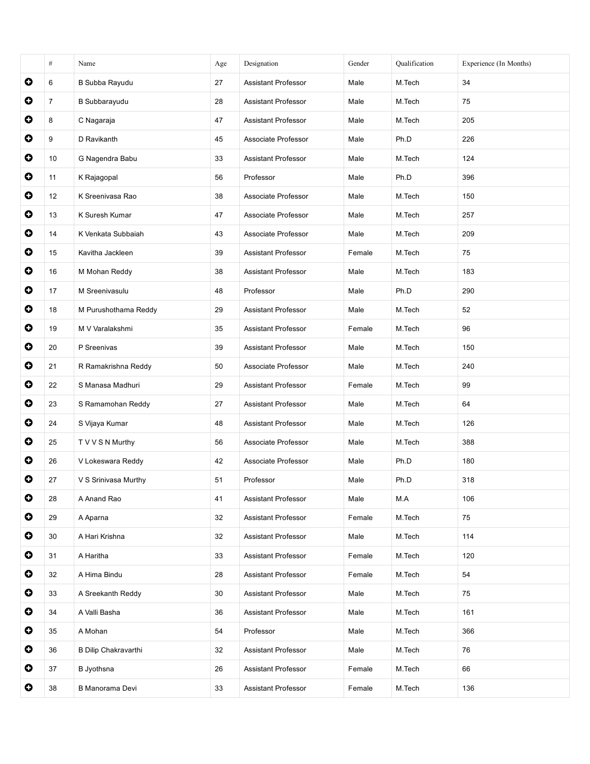|           | $\#$           | Name                        | Age | Designation                | Gender | Qualification | Experience (In Months) |
|-----------|----------------|-----------------------------|-----|----------------------------|--------|---------------|------------------------|
| $\bullet$ | 6              | B Subba Rayudu              | 27  | Assistant Professor        | Male   | M.Tech        | 34                     |
| $\bullet$ | $\overline{7}$ | <b>B</b> Subbarayudu        | 28  | <b>Assistant Professor</b> | Male   | M.Tech        | 75                     |
| $\bullet$ | 8              | C Nagaraja                  | 47  | Assistant Professor        | Male   | M.Tech        | 205                    |
| $\bullet$ | 9              | D Ravikanth                 | 45  | Associate Professor        | Male   | Ph.D          | 226                    |
| 0         | 10             | G Nagendra Babu             | 33  | Assistant Professor        | Male   | M.Tech        | 124                    |
| $\bullet$ | 11             | K Rajagopal                 | 56  | Professor                  | Male   | Ph.D          | 396                    |
| $\bullet$ | 12             | K Sreenivasa Rao            | 38  | Associate Professor        | Male   | M.Tech        | 150                    |
| $\bullet$ | 13             | K Suresh Kumar              | 47  | Associate Professor        | Male   | M.Tech        | 257                    |
| $\bullet$ | 14             | K Venkata Subbaiah          | 43  | Associate Professor        | Male   | M.Tech        | 209                    |
| $\bullet$ | 15             | Kavitha Jackleen            | 39  | <b>Assistant Professor</b> | Female | M.Tech        | 75                     |
| $\bullet$ | 16             | M Mohan Reddy               | 38  | <b>Assistant Professor</b> | Male   | M.Tech        | 183                    |
| O         | 17             | M Sreenivasulu              | 48  | Professor                  | Male   | Ph.D          | 290                    |
| $\bullet$ | 18             | M Purushothama Reddy        | 29  | Assistant Professor        | Male   | M.Tech        | 52                     |
| $\bullet$ | 19             | M V Varalakshmi             | 35  | <b>Assistant Professor</b> | Female | M.Tech        | 96                     |
| $\bullet$ | 20             | P Sreenivas                 | 39  | <b>Assistant Professor</b> | Male   | M.Tech        | 150                    |
| 0         | 21             | R Ramakrishna Reddy         | 50  | Associate Professor        | Male   | M.Tech        | 240                    |
| $\bullet$ | 22             | S Manasa Madhuri            | 29  | Assistant Professor        | Female | M.Tech        | 99                     |
| $\bullet$ | 23             | S Ramamohan Reddy           | 27  | <b>Assistant Professor</b> | Male   | M.Tech        | 64                     |
| $\bullet$ | 24             | S Vijaya Kumar              | 48  | Assistant Professor        | Male   | M.Tech        | 126                    |
| 0         | 25             | T V V S N Murthy            | 56  | Associate Professor        | Male   | M.Tech        | 388                    |
| O         | 26             | V Lokeswara Reddy           | 42  | Associate Professor        | Male   | Ph.D          | 180                    |
| O         | 27             | V S Srinivasa Murthy        | 51  | Professor                  | Male   | Ph.D          | 318                    |
| $\bullet$ | 28             | A Anand Rao                 | 41  | Assistant Professor        | Male   | M.A           | 106                    |
| $\bullet$ | 29             | A Aparna                    | 32  | Assistant Professor        | Female | M.Tech        | 75                     |
| $\bullet$ | 30             | A Hari Krishna              | 32  | Assistant Professor        | Male   | M.Tech        | 114                    |
| $\bullet$ | 31             | A Haritha                   | 33  | Assistant Professor        | Female | M.Tech        | 120                    |
| $\bullet$ | 32             | A Hima Bindu                | 28  | Assistant Professor        | Female | M.Tech        | 54                     |
| $\bullet$ | 33             | A Sreekanth Reddy           | 30  | Assistant Professor        | Male   | M.Tech        | 75                     |
| $\bullet$ | 34             | A Valli Basha               | 36  | Assistant Professor        | Male   | M.Tech        | 161                    |
| $\bullet$ | 35             | A Mohan                     | 54  | Professor                  | Male   | M.Tech        | 366                    |
| $\bullet$ | 36             | <b>B Dilip Chakravarthi</b> | 32  | Assistant Professor        | Male   | M.Tech        | 76                     |
| $\bullet$ | 37             | <b>B</b> Jyothsna           | 26  | Assistant Professor        | Female | M.Tech        | 66                     |
| $\bullet$ | 38             | B Manorama Devi             | 33  | Assistant Professor        | Female | M.Tech        | 136                    |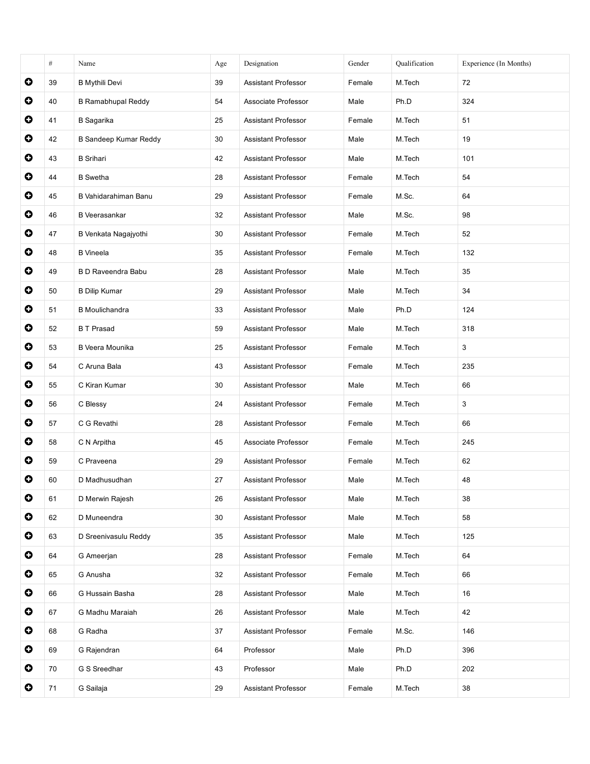|           | $\#$ | Name                         | Age | Designation                | Gender | Qualification | Experience (In Months) |
|-----------|------|------------------------------|-----|----------------------------|--------|---------------|------------------------|
| $\bullet$ | 39   | <b>B</b> Mythili Devi        | 39  | Assistant Professor        | Female | M.Tech        | 72                     |
| $\bullet$ | 40   | <b>B Ramabhupal Reddy</b>    | 54  | Associate Professor        | Male   | Ph.D          | 324                    |
| $\bullet$ | 41   | <b>B</b> Sagarika            | 25  | Assistant Professor        | Female | M.Tech        | 51                     |
| $\bullet$ | 42   | <b>B Sandeep Kumar Reddy</b> | 30  | Assistant Professor        | Male   | M.Tech        | 19                     |
| $\bullet$ | 43   | <b>B</b> Srihari             | 42  | <b>Assistant Professor</b> | Male   | M.Tech        | 101                    |
| $\bullet$ | 44   | <b>B</b> Swetha              | 28  | <b>Assistant Professor</b> | Female | M.Tech        | 54                     |
| $\bullet$ | 45   | B Vahidarahiman Banu         | 29  | <b>Assistant Professor</b> | Female | M.Sc.         | 64                     |
| $\bullet$ | 46   | <b>B</b> Veerasankar         | 32  | <b>Assistant Professor</b> | Male   | M.Sc.         | 98                     |
| $\bullet$ | 47   | B Venkata Nagajyothi         | 30  | <b>Assistant Professor</b> | Female | M.Tech        | 52                     |
| $\bullet$ | 48   | <b>B</b> Vineela             | 35  | <b>Assistant Professor</b> | Female | M.Tech        | 132                    |
| $\bullet$ | 49   | <b>B D Raveendra Babu</b>    | 28  | <b>Assistant Professor</b> | Male   | M.Tech        | 35                     |
| $\bullet$ | 50   | <b>B Dilip Kumar</b>         | 29  | <b>Assistant Professor</b> | Male   | M.Tech        | 34                     |
| $\bullet$ | 51   | <b>B</b> Moulichandra        | 33  | <b>Assistant Professor</b> | Male   | Ph.D          | 124                    |
| $\bullet$ | 52   | <b>BT</b> Prasad             | 59  | <b>Assistant Professor</b> | Male   | M.Tech        | 318                    |
| $\bullet$ | 53   | B Veera Mounika              | 25  | <b>Assistant Professor</b> | Female | M.Tech        | 3                      |
| $\bullet$ | 54   | C Aruna Bala                 | 43  | Assistant Professor        | Female | M.Tech        | 235                    |
| $\bullet$ | 55   | C Kiran Kumar                | 30  | <b>Assistant Professor</b> | Male   | M.Tech        | 66                     |
| $\bullet$ | 56   | C Blessy                     | 24  | Assistant Professor        | Female | M.Tech        | 3                      |
| $\bullet$ | 57   | C G Revathi                  | 28  | Assistant Professor        | Female | M.Tech        | 66                     |
| $\bullet$ | 58   | C N Arpitha                  | 45  | Associate Professor        | Female | M.Tech        | 245                    |
| $\bullet$ | 59   | C Praveena                   | 29  | Assistant Professor        | Female | M.Tech        | 62                     |
| O         | 60   | D Madhusudhan                | 27  | <b>Assistant Professor</b> | Male   | M.Tech        | 48                     |
| $\bullet$ | 61   | D Merwin Rajesh              | 26  | Assistant Professor        | Male   | M.Tech        | 38                     |
| $\bullet$ | 62   | D Muneendra                  | 30  | Assistant Professor        | Male   | M.Tech        | 58                     |
| $\bullet$ | 63   | D Sreenivasulu Reddy         | 35  | <b>Assistant Professor</b> | Male   | M.Tech        | 125                    |
| $\bullet$ | 64   | G Ameerjan                   | 28  | Assistant Professor        | Female | M.Tech        | 64                     |
| $\bullet$ | 65   | G Anusha                     | 32  | Assistant Professor        | Female | M.Tech        | 66                     |
| $\bullet$ | 66   | G Hussain Basha              | 28  | Assistant Professor        | Male   | M.Tech        | 16                     |
| $\bullet$ | 67   | G Madhu Maraiah              | 26  | Assistant Professor        | Male   | M.Tech        | 42                     |
| $\bullet$ | 68   | G Radha                      | 37  | Assistant Professor        | Female | M.Sc.         | 146                    |
| $\bullet$ | 69   | G Rajendran                  | 64  | Professor                  | Male   | Ph.D          | 396                    |
| $\bullet$ | 70   | G S Sreedhar                 | 43  | Professor                  | Male   | Ph.D          | 202                    |
| $\bullet$ | 71   | G Sailaja                    | 29  | Assistant Professor        | Female | M.Tech        | 38                     |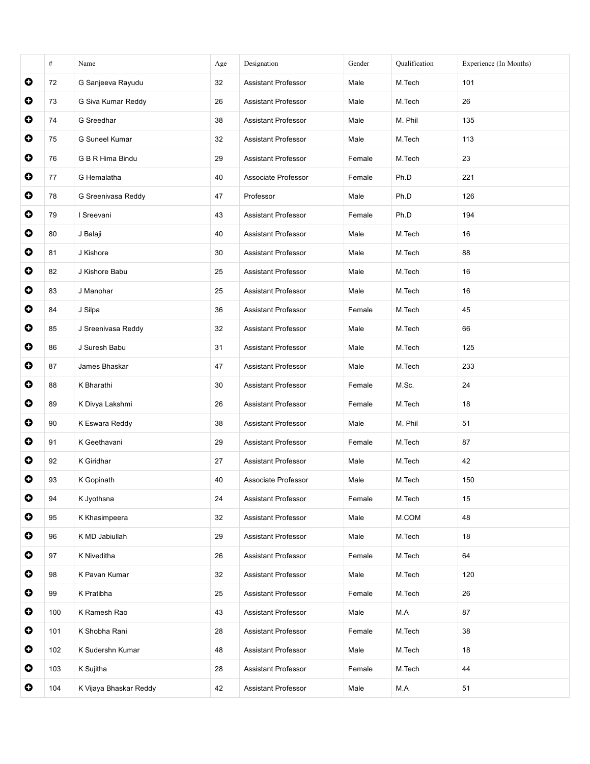|           | $\#$ | Name                   | Age | Designation                | Gender | Qualification | Experience (In Months) |
|-----------|------|------------------------|-----|----------------------------|--------|---------------|------------------------|
| $\bullet$ | 72   | G Sanjeeva Rayudu      | 32  | Assistant Professor        | Male   | M.Tech        | 101                    |
| $\bullet$ | 73   | G Siva Kumar Reddy     | 26  | <b>Assistant Professor</b> | Male   | M.Tech        | 26                     |
| $\bullet$ | 74   | G Sreedhar             | 38  | <b>Assistant Professor</b> | Male   | M. Phil       | 135                    |
| $\bullet$ | 75   | G Suneel Kumar         | 32  | <b>Assistant Professor</b> | Male   | M.Tech        | 113                    |
| $\bullet$ | 76   | G B R Hima Bindu       | 29  | Assistant Professor        | Female | M.Tech        | 23                     |
| $\bullet$ | 77   | G Hemalatha            | 40  | Associate Professor        | Female | Ph.D          | 221                    |
| $\bullet$ | 78   | G Sreenivasa Reddy     | 47  | Professor                  | Male   | Ph.D          | 126                    |
| $\bullet$ | 79   | I Sreevani             | 43  | Assistant Professor        | Female | Ph.D          | 194                    |
| 0         | 80   | J Balaji               | 40  | <b>Assistant Professor</b> | Male   | M.Tech        | 16                     |
| $\bullet$ | 81   | J Kishore              | 30  | <b>Assistant Professor</b> | Male   | M.Tech        | 88                     |
| $\bullet$ | 82   | J Kishore Babu         | 25  | <b>Assistant Professor</b> | Male   | M.Tech        | 16                     |
| O         | 83   | J Manohar              | 25  | <b>Assistant Professor</b> | Male   | M.Tech        | 16                     |
| $\bullet$ | 84   | J Silpa                | 36  | Assistant Professor        | Female | M.Tech        | 45                     |
| $\bullet$ | 85   | J Sreenivasa Reddy     | 32  | <b>Assistant Professor</b> | Male   | M.Tech        | 66                     |
| $\bullet$ | 86   | J Suresh Babu          | 31  | <b>Assistant Professor</b> | Male   | M.Tech        | 125                    |
| O         | 87   | James Bhaskar          | 47  | <b>Assistant Professor</b> | Male   | M.Tech        | 233                    |
| $\bullet$ | 88   | K Bharathi             | 30  | Assistant Professor        | Female | M.Sc.         | 24                     |
| $\bullet$ | 89   | K Divya Lakshmi        | 26  | <b>Assistant Professor</b> | Female | M.Tech        | 18                     |
| $\bullet$ | 90   | K Eswara Reddy         | 38  | <b>Assistant Professor</b> | Male   | M. Phil       | 51                     |
| 0         | 91   | K Geethavani           | 29  | Assistant Professor        | Female | M.Tech        | 87                     |
| $\bullet$ | 92   | K Giridhar             | 27  | Assistant Professor        | Male   | M.Tech        | 42                     |
| O         | 93   | K Gopinath             | 40  | Associate Professor        | Male   | M.Tech        | 150                    |
| $\bullet$ | 94   | K Jyothsna             | 24  | Assistant Professor        | Female | M.Tech        | 15                     |
| 0         | 95   | K Khasimpeera          | 32  | Assistant Professor        | Male   | M.COM         | 48                     |
| $\bullet$ | 96   | K MD Jabiullah         | 29  | Assistant Professor        | Male   | M.Tech        | 18                     |
| $\bullet$ | 97   | K Niveditha            | 26  | Assistant Professor        | Female | M.Tech        | 64                     |
| $\bullet$ | 98   | K Pavan Kumar          | 32  | Assistant Professor        | Male   | M.Tech        | 120                    |
| $\bullet$ | 99   | K Pratibha             | 25  | Assistant Professor        | Female | M.Tech        | 26                     |
| $\bullet$ | 100  | K Ramesh Rao           | 43  | Assistant Professor        | Male   | M.A           | 87                     |
| $\bullet$ | 101  | K Shobha Rani          | 28  | Assistant Professor        | Female | M.Tech        | 38                     |
| $\bullet$ | 102  | K Sudershn Kumar       | 48  | Assistant Professor        | Male   | M.Tech        | 18                     |
| $\bullet$ | 103  | K Sujitha              | 28  | Assistant Professor        | Female | M.Tech        | 44                     |
| $\bullet$ | 104  | K Vijaya Bhaskar Reddy | 42  | Assistant Professor        | Male   | M.A           | 51                     |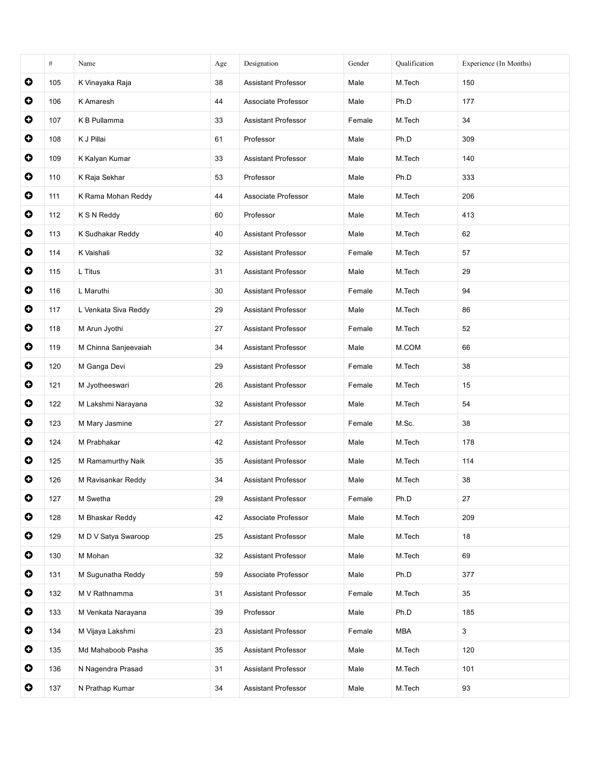|           | $\#$ | Name                 | Age | Designation                | Gender | Oualification | Experience (In Months) |
|-----------|------|----------------------|-----|----------------------------|--------|---------------|------------------------|
| $\bullet$ | 105  | K Vinayaka Raja      | 38  | Assistant Professor        | Male   | M.Tech        | 150                    |
| $\bullet$ | 106  | K Amaresh            | 44  | Associate Professor        | Male   | Ph.D          | 177                    |
| $\bullet$ | 107  | K B Pullamma         | 33  | <b>Assistant Professor</b> | Female | M.Tech        | 34                     |
| $\bullet$ | 108  | K J Pillai           | 61  | Professor                  | Male   | Ph.D          | 309                    |
| $\bullet$ | 109  | K Kalyan Kumar       | 33  | Assistant Professor        | Male   | M.Tech        | 140                    |
| $\bullet$ | 110  | K Raja Sekhar        | 53  | Professor                  | Male   | Ph.D          | 333                    |
| $\bullet$ | 111  | K Rama Mohan Reddy   | 44  | Associate Professor        | Male   | M.Tech        | 206                    |
| $\bullet$ | 112  | K S N Reddy          | 60  | Professor                  | Male   | M.Tech        | 413                    |
| 0         | 113  | K Sudhakar Reddy     | 40  | <b>Assistant Professor</b> | Male   | M.Tech        | 62                     |
| $\bullet$ | 114  | K Vaishali           | 32  | <b>Assistant Professor</b> | Female | M.Tech        | 57                     |
| $\bullet$ | 115  | L Titus              | 31  | <b>Assistant Professor</b> | Male   | M.Tech        | 29                     |
| O         | 116  | L Maruthi            | 30  | <b>Assistant Professor</b> | Female | M.Tech        | 94                     |
| $\bullet$ | 117  | L Venkata Siva Reddy | 29  | Assistant Professor        | Male   | M.Tech        | 86                     |
| $\bullet$ | 118  | M Arun Jyothi        | 27  | <b>Assistant Professor</b> | Female | M.Tech        | 52                     |
| $\bullet$ | 119  | M Chinna Sanjeevaiah | 34  | <b>Assistant Professor</b> | Male   | M.COM         | 66                     |
| $\bullet$ | 120  | M Ganga Devi         | 29  | <b>Assistant Professor</b> | Female | M.Tech        | 38                     |
| $\bullet$ | 121  | M Jyotheeswari       | 26  | Assistant Professor        | Female | M.Tech        | 15                     |
| $\bullet$ | 122  | M Lakshmi Narayana   | 32  | <b>Assistant Professor</b> | Male   | M.Tech        | 54                     |
| $\bullet$ | 123  | M Mary Jasmine       | 27  | <b>Assistant Professor</b> | Female | M.Sc.         | 38                     |
| 0         | 124  | M Prabhakar          | 42  | Assistant Professor        | Male   | M.Tech        | 178                    |
| $\bullet$ | 125  | M Ramamurthy Naik    | 35  | Assistant Professor        | Male   | M.Tech        | 114                    |
| O         | 126  | M Ravisankar Reddy   | 34  | <b>Assistant Professor</b> | Male   | M.Tech        | 38                     |
| $\bullet$ | 127  | M Swetha             | 29  | Assistant Professor        | Female | Ph.D          | 27                     |
| 0         | 128  | M Bhaskar Reddy      | 42  | Associate Professor        | Male   | M.Tech        | 209                    |
| $\bullet$ | 129  | M D V Satya Swaroop  | 25  | Assistant Professor        | Male   | M.Tech        | 18                     |
| $\bullet$ | 130  | M Mohan              | 32  | Assistant Professor        | Male   | M.Tech        | 69                     |
| $\bullet$ | 131  | M Sugunatha Reddy    | 59  | Associate Professor        | Male   | Ph.D          | 377                    |
| $\bullet$ | 132  | M V Rathnamma        | 31  | Assistant Professor        | Female | M.Tech        | 35                     |
| $\bullet$ | 133  | M Venkata Narayana   | 39  | Professor                  | Male   | Ph.D          | 185                    |
| $\bullet$ | 134  | M Vijaya Lakshmi     | 23  | Assistant Professor        | Female | <b>MBA</b>    | 3                      |
| $\bullet$ | 135  | Md Mahaboob Pasha    | 35  | Assistant Professor        | Male   | M.Tech        | 120                    |
| $\bullet$ | 136  | N Nagendra Prasad    | 31  | Assistant Professor        | Male   | M.Tech        | 101                    |
| $\bullet$ | 137  | N Prathap Kumar      | 34  | Assistant Professor        | Male   | M.Tech        | 93                     |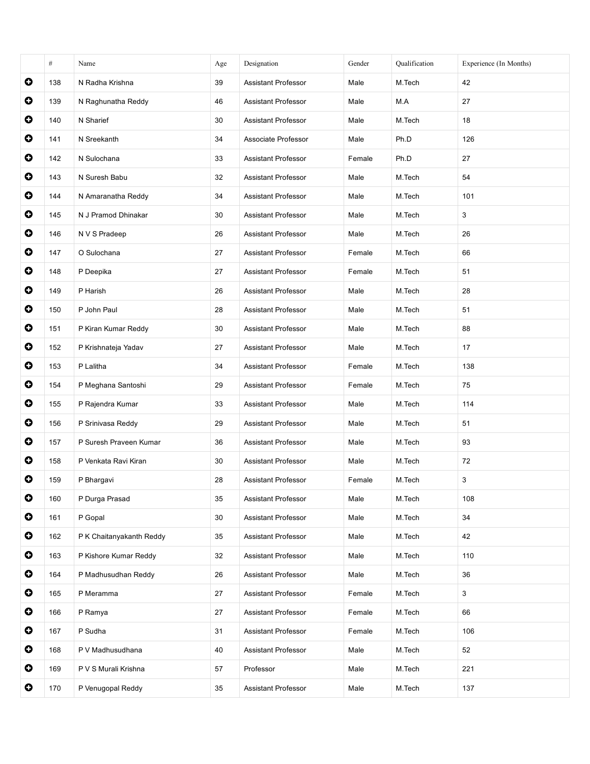|           | $\#$ | Name                     | Age | Designation                | Gender | Qualification | Experience (In Months) |
|-----------|------|--------------------------|-----|----------------------------|--------|---------------|------------------------|
| $\bullet$ | 138  | N Radha Krishna          | 39  | <b>Assistant Professor</b> | Male   | M.Tech        | 42                     |
| $\bullet$ | 139  | N Raghunatha Reddy       | 46  | Assistant Professor        | Male   | M.A           | 27                     |
| $\bullet$ | 140  | N Sharief                | 30  | <b>Assistant Professor</b> | Male   | M.Tech        | 18                     |
| $\bullet$ | 141  | N Sreekanth              | 34  | Associate Professor        | Male   | Ph.D          | 126                    |
| $\bullet$ | 142  | N Sulochana              | 33  | Assistant Professor        | Female | Ph.D          | 27                     |
| $\bullet$ | 143  | N Suresh Babu            | 32  | Assistant Professor        | Male   | M.Tech        | 54                     |
| $\bullet$ | 144  | N Amaranatha Reddy       | 34  | <b>Assistant Professor</b> | Male   | M.Tech        | 101                    |
| $\bullet$ | 145  | N J Pramod Dhinakar      | 30  | Assistant Professor        | Male   | M.Tech        | 3                      |
| 0         | 146  | N V S Pradeep            | 26  | Assistant Professor        | Male   | M.Tech        | 26                     |
| $\bullet$ | 147  | O Sulochana              | 27  | <b>Assistant Professor</b> | Female | M.Tech        | 66                     |
| $\bullet$ | 148  | P Deepika                | 27  | <b>Assistant Professor</b> | Female | M.Tech        | 51                     |
| O         | 149  | P Harish                 | 26  | <b>Assistant Professor</b> | Male   | M.Tech        | 28                     |
| $\bullet$ | 150  | P John Paul              | 28  | Assistant Professor        | Male   | M.Tech        | 51                     |
| $\bullet$ | 151  | P Kiran Kumar Reddy      | 30  | <b>Assistant Professor</b> | Male   | M.Tech        | 88                     |
| $\bullet$ | 152  | P Krishnateja Yadav      | 27  | <b>Assistant Professor</b> | Male   | M.Tech        | 17                     |
| $\bullet$ | 153  | P Lalitha                | 34  | <b>Assistant Professor</b> | Female | M.Tech        | 138                    |
| $\bullet$ | 154  | P Meghana Santoshi       | 29  | Assistant Professor        | Female | M.Tech        | 75                     |
| $\bullet$ | 155  | P Rajendra Kumar         | 33  | <b>Assistant Professor</b> | Male   | M.Tech        | 114                    |
| $\bullet$ | 156  | P Srinivasa Reddy        | 29  | <b>Assistant Professor</b> | Male   | M.Tech        | 51                     |
| 0         | 157  | P Suresh Praveen Kumar   | 36  | Assistant Professor        | Male   | M.Tech        | 93                     |
| $\bullet$ | 158  | P Venkata Ravi Kiran     | 30  | Assistant Professor        | Male   | M.Tech        | 72                     |
| O         | 159  | P Bhargavi               | 28  | <b>Assistant Professor</b> | Female | M.Tech        | 3                      |
| $\bullet$ | 160  | P Durga Prasad           | 35  | Assistant Professor        | Male   | M.Tech        | 108                    |
| $\bullet$ | 161  | P Gopal                  | 30  | <b>Assistant Professor</b> | Male   | M.Tech        | 34                     |
| $\bullet$ | 162  | P K Chaitanyakanth Reddy | 35  | Assistant Professor        | Male   | M.Tech        | 42                     |
| $\bullet$ | 163  | P Kishore Kumar Reddy    | 32  | Assistant Professor        | Male   | M.Tech        | 110                    |
| $\bullet$ | 164  | P Madhusudhan Reddy      | 26  | Assistant Professor        | Male   | M.Tech        | 36                     |
| $\bullet$ | 165  | P Meramma                | 27  | Assistant Professor        | Female | M.Tech        | 3                      |
| $\bullet$ | 166  | P Ramya                  | 27  | Assistant Professor        | Female | M.Tech        | 66                     |
| $\bullet$ | 167  | P Sudha                  | 31  | Assistant Professor        | Female | M.Tech        | 106                    |
| $\bullet$ | 168  | P V Madhusudhana         | 40  | Assistant Professor        | Male   | M.Tech        | 52                     |
| $\bullet$ | 169  | P V S Murali Krishna     | 57  | Professor                  | Male   | M.Tech        | 221                    |
| $\bullet$ | 170  | P Venugopal Reddy        | 35  | Assistant Professor        | Male   | M.Tech        | 137                    |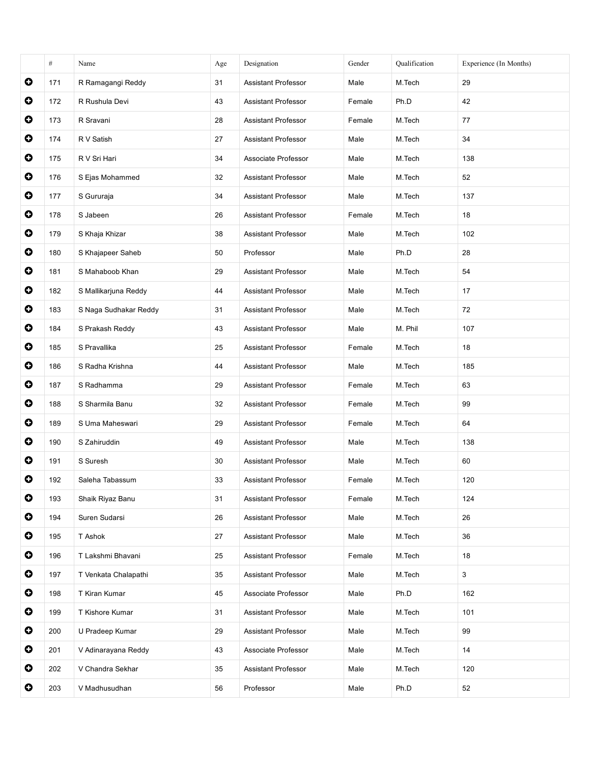|           | $\#$ | Name                  | Age | Designation                | Gender | Qualification | Experience (In Months) |
|-----------|------|-----------------------|-----|----------------------------|--------|---------------|------------------------|
| $\bullet$ | 171  | R Ramagangi Reddy     | 31  | Assistant Professor        | Male   | M.Tech        | 29                     |
| $\bullet$ | 172  | R Rushula Devi        | 43  | Assistant Professor        | Female | Ph.D          | 42                     |
| $\bullet$ | 173  | R Sravani             | 28  | <b>Assistant Professor</b> | Female | M.Tech        | 77                     |
| $\bullet$ | 174  | R V Satish            | 27  | <b>Assistant Professor</b> | Male   | M.Tech        | 34                     |
| $\bullet$ | 175  | R V Sri Hari          | 34  | Associate Professor        | Male   | M.Tech        | 138                    |
| $\bullet$ | 176  | S Ejas Mohammed       | 32  | Assistant Professor        | Male   | M.Tech        | 52                     |
| $\bullet$ | 177  | S Gururaja            | 34  | <b>Assistant Professor</b> | Male   | M.Tech        | 137                    |
| $\bullet$ | 178  | S Jabeen              | 26  | Assistant Professor        | Female | M.Tech        | 18                     |
| 0         | 179  | S Khaja Khizar        | 38  | <b>Assistant Professor</b> | Male   | M.Tech        | 102                    |
| $\bullet$ | 180  | S Khajapeer Saheb     | 50  | Professor                  | Male   | Ph.D          | 28                     |
| $\bullet$ | 181  | S Mahaboob Khan       | 29  | <b>Assistant Professor</b> | Male   | M.Tech        | 54                     |
| O         | 182  | S Mallikarjuna Reddy  | 44  | Assistant Professor        | Male   | M.Tech        | 17                     |
| $\bullet$ | 183  | S Naga Sudhakar Reddy | 31  | Assistant Professor        | Male   | M.Tech        | 72                     |
| $\bullet$ | 184  | S Prakash Reddy       | 43  | <b>Assistant Professor</b> | Male   | M. Phil       | 107                    |
| $\bullet$ | 185  | S Pravallika          | 25  | <b>Assistant Professor</b> | Female | M.Tech        | 18                     |
| $\bullet$ | 186  | S Radha Krishna       | 44  | <b>Assistant Professor</b> | Male   | M.Tech        | 185                    |
| $\bullet$ | 187  | S Radhamma            | 29  | Assistant Professor        | Female | M.Tech        | 63                     |
| $\bullet$ | 188  | S Sharmila Banu       | 32  | <b>Assistant Professor</b> | Female | M.Tech        | 99                     |
| $\bullet$ | 189  | S Uma Maheswari       | 29  | <b>Assistant Professor</b> | Female | M.Tech        | 64                     |
| 0         | 190  | S Zahiruddin          | 49  | Assistant Professor        | Male   | M.Tech        | 138                    |
| $\bullet$ | 191  | S Suresh              | 30  | Assistant Professor        | Male   | M.Tech        | 60                     |
| O         | 192  | Saleha Tabassum       | 33  | <b>Assistant Professor</b> | Female | M.Tech        | 120                    |
| $\bullet$ | 193  | Shaik Riyaz Banu      | 31  | Assistant Professor        | Female | M.Tech        | 124                    |
| 0         | 194  | Suren Sudarsi         | 26  | <b>Assistant Professor</b> | Male   | M.Tech        | 26                     |
| $\bullet$ | 195  | T Ashok               | 27  | Assistant Professor        | Male   | M.Tech        | 36                     |
| $\bullet$ | 196  | T Lakshmi Bhavani     | 25  | Assistant Professor        | Female | M.Tech        | 18                     |
| $\bullet$ | 197  | T Venkata Chalapathi  | 35  | Assistant Professor        | Male   | M.Tech        | 3                      |
| $\bullet$ | 198  | T Kiran Kumar         | 45  | Associate Professor        | Male   | Ph.D          | 162                    |
| $\bullet$ | 199  | T Kishore Kumar       | 31  | Assistant Professor        | Male   | M.Tech        | 101                    |
| $\bullet$ | 200  | U Pradeep Kumar       | 29  | Assistant Professor        | Male   | M.Tech        | 99                     |
| $\bullet$ | 201  | V Adinarayana Reddy   | 43  | Associate Professor        | Male   | M.Tech        | 14                     |
| $\bullet$ | 202  | V Chandra Sekhar      | 35  | Assistant Professor        | Male   | M.Tech        | 120                    |
| $\bullet$ | 203  | V Madhusudhan         | 56  | Professor                  | Male   | Ph.D          | 52                     |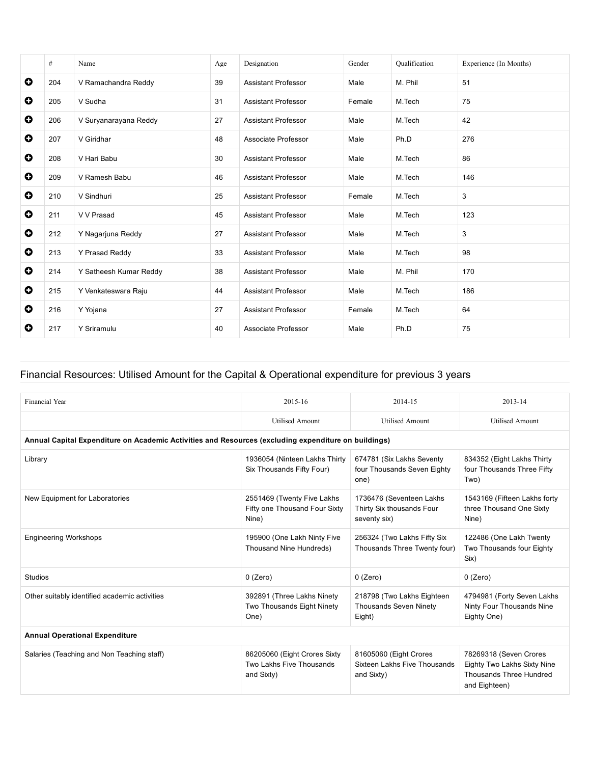|             | #   | Name                   | Age | Designation                | Gender | Qualification | Experience (In Months) |
|-------------|-----|------------------------|-----|----------------------------|--------|---------------|------------------------|
| $\mathbf o$ | 204 | V Ramachandra Reddy    | 39  | <b>Assistant Professor</b> | Male   | M. Phil       | 51                     |
| O           | 205 | V Sudha                | 31  | <b>Assistant Professor</b> | Female | M.Tech        | 75                     |
| O           | 206 | V Suryanarayana Reddy  | 27  | Assistant Professor        | Male   | M.Tech        | 42                     |
| $\bullet$   | 207 | V Giridhar             | 48  | Associate Professor        | Male   | Ph.D          | 276                    |
| $\bullet$   | 208 | V Hari Babu            | 30  | <b>Assistant Professor</b> | Male   | M.Tech        | 86                     |
| O           | 209 | V Ramesh Babu          | 46  | <b>Assistant Professor</b> | Male   | M.Tech        | 146                    |
| $\bullet$   | 210 | V Sindhuri             | 25  | <b>Assistant Professor</b> | Female | M.Tech        | 3                      |
| $\bullet$   | 211 | V V Prasad             | 45  | <b>Assistant Professor</b> | Male   | M.Tech        | 123                    |
| $\bullet$   | 212 | Y Nagarjuna Reddy      | 27  | <b>Assistant Professor</b> | Male   | M.Tech        | 3                      |
| O           | 213 | Y Prasad Reddy         | 33  | <b>Assistant Professor</b> | Male   | M.Tech        | 98                     |
| O           | 214 | Y Satheesh Kumar Reddy | 38  | <b>Assistant Professor</b> | Male   | M. Phil       | 170                    |
| O           | 215 | Y Venkateswara Raju    | 44  | <b>Assistant Professor</b> | Male   | M.Tech        | 186                    |
| O           | 216 | Y Yojana               | 27  | <b>Assistant Professor</b> | Female | M.Tech        | 64                     |
| O           | 217 | Y Sriramulu            | 40  | Associate Professor        | Male   | Ph.D          | 75                     |

## Financial Resources: Utilised Amount for the Capital & Operational expenditure for previous 3 years

| Financial Year                                                                                       | 2015-16                                                                | 2014-15                                                               | 2013-14                                                                                           |
|------------------------------------------------------------------------------------------------------|------------------------------------------------------------------------|-----------------------------------------------------------------------|---------------------------------------------------------------------------------------------------|
|                                                                                                      | <b>Utilised Amount</b>                                                 | <b>Utilised Amount</b>                                                | <b>Utilised Amount</b>                                                                            |
| Annual Capital Expenditure on Academic Activities and Resources (excluding expenditure on buildings) |                                                                        |                                                                       |                                                                                                   |
| Library                                                                                              | 1936054 (Ninteen Lakhs Thirty<br>Six Thousands Fifty Four)             | 674781 (Six Lakhs Seventy<br>four Thousands Seven Eighty<br>one)      | 834352 (Eight Lakhs Thirty<br>four Thousands Three Fifty<br>Two)                                  |
| New Equipment for Laboratories                                                                       | 2551469 (Twenty Five Lakhs<br>Fifty one Thousand Four Sixty<br>Nine)   | 1736476 (Seventeen Lakhs<br>Thirty Six thousands Four<br>seventy six) | 1543169 (Fifteen Lakhs forty<br>three Thousand One Sixty<br>Nine)                                 |
| <b>Engineering Workshops</b>                                                                         | 195900 (One Lakh Ninty Five<br>Thousand Nine Hundreds)                 | 256324 (Two Lakhs Fifty Six<br>Thousands Three Twenty four)           | 122486 (One Lakh Twenty<br>Two Thousands four Eighty<br>Six)                                      |
| <b>Studios</b>                                                                                       | $0$ (Zero)                                                             | $0$ (Zero)                                                            | $0$ (Zero)                                                                                        |
| Other suitably identified academic activities                                                        | 392891 (Three Lakhs Ninety<br>Two Thousands Eight Ninety<br>One)       | 218798 (Two Lakhs Eighteen<br><b>Thousands Seven Ninety</b><br>Eight) | 4794981 (Forty Seven Lakhs<br>Ninty Four Thousands Nine<br>Eighty One)                            |
| <b>Annual Operational Expenditure</b>                                                                |                                                                        |                                                                       |                                                                                                   |
| Salaries (Teaching and Non Teaching staff)                                                           | 86205060 (Eight Crores Sixty<br>Two Lakhs Five Thousands<br>and Sixty) | 81605060 (Eight Crores<br>Sixteen Lakhs Five Thousands<br>and Sixty)  | 78269318 (Seven Crores<br>Eighty Two Lakhs Sixty Nine<br>Thousands Three Hundred<br>and Eighteen) |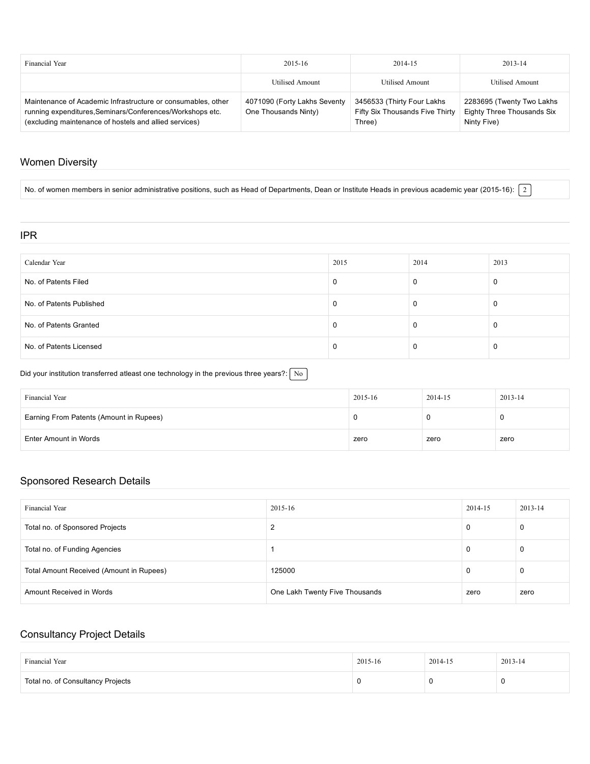| Financial Year                                                                                                                                                                      | $2015 - 16$                                          | 2014-15                                                                 | $2013 - 14$                                                            |
|-------------------------------------------------------------------------------------------------------------------------------------------------------------------------------------|------------------------------------------------------|-------------------------------------------------------------------------|------------------------------------------------------------------------|
|                                                                                                                                                                                     | Utilised Amount                                      | <b>Utilised Amount</b>                                                  | <b>Utilised Amount</b>                                                 |
| Maintenance of Academic Infrastructure or consumables, other<br>running expenditures, Seminars/Conferences/Workshops etc.<br>(excluding maintenance of hostels and allied services) | 4071090 (Forty Lakhs Seventy<br>One Thousands Ninty) | 3456533 (Thirty Four Lakhs<br>Fifty Six Thousands Five Thirty<br>Three) | 2283695 (Twenty Two Lakhs<br>Eighty Three Thousands Six<br>Ninty Five) |

### Women Diversity

No. of women members in senior administrative positions, such as Head of Departments, Dean or Institute Heads in previous academic year (2015-16):  $\boxed{2}$ 

#### IPR

| Calendar Year            | 2015 | 2014 | 2013     |
|--------------------------|------|------|----------|
| No. of Patents Filed     |      | 0    | $\Omega$ |
| No. of Patents Published |      | 0    | -U       |
| No. of Patents Granted   |      | 0    | 0        |
| No. of Patents Licensed  |      | 0    | 0        |

Did your institution transferred atleast one technology in the previous three years?:  $\boxed{\text{No}}$ 

| Financial Year                          | 2015-16 | 2014-15 | 2013-14 |
|-----------------------------------------|---------|---------|---------|
| Earning From Patents (Amount in Rupees) |         |         |         |
| Enter Amount in Words                   | zero    | zero    | zero    |

### Sponsored Research Details

| Financial Year                           | 2015-16                        | 2014-15 | $2013 - 14$ |
|------------------------------------------|--------------------------------|---------|-------------|
| Total no. of Sponsored Projects          |                                | 0       | 0           |
| Total no. of Funding Agencies            |                                | 0       | 0           |
| Total Amount Received (Amount in Rupees) | 125000                         | 0       | 0           |
| Amount Received in Words                 | One Lakh Twenty Five Thousands | zero    | zero        |

## Consultancy Project Details

| Financial Year                    | 2015-16 | 2014-15 | $2013 - 14$ |
|-----------------------------------|---------|---------|-------------|
| Total no. of Consultancy Projects | u       |         |             |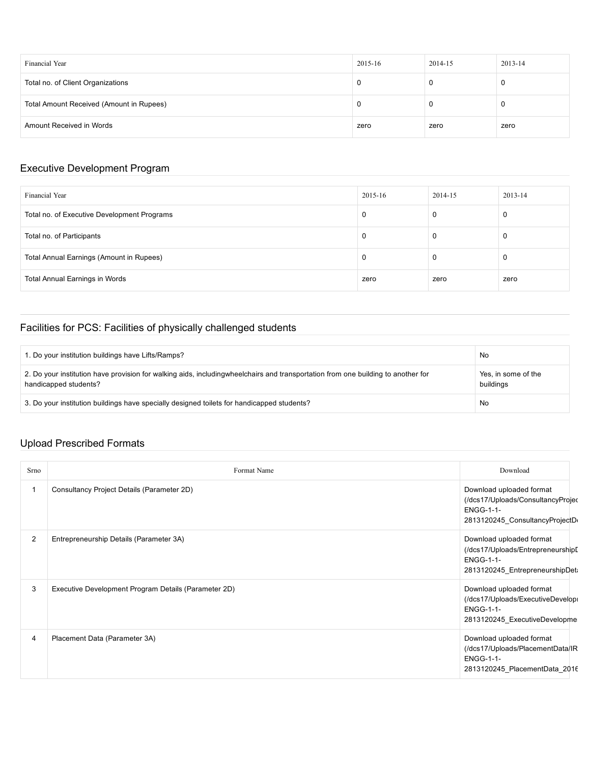| Financial Year                           | 2015-16 | 2014-15 | 2013-14 |
|------------------------------------------|---------|---------|---------|
| Total no. of Client Organizations        | 0       |         | 0       |
| Total Amount Received (Amount in Rupees) | 0       |         | 0       |
| Amount Received in Words                 | zero    | zero    | zero    |

## Executive Development Program

| Financial Year                              | 2015-16 | 2014-15 | 2013-14 |
|---------------------------------------------|---------|---------|---------|
| Total no. of Executive Development Programs |         | 0       | 0       |
| Total no. of Participants                   |         | 0       | 0       |
| Total Annual Earnings (Amount in Rupees)    |         | 0       | 0       |
| Total Annual Earnings in Words              | zero    | zero    | zero    |

## Facilities for PCS: Facilities of physically challenged students

| 1. Do your institution buildings have Lifts/Ramps?                                                                                                        | No                               |
|-----------------------------------------------------------------------------------------------------------------------------------------------------------|----------------------------------|
| 2. Do your institution have provision for walking aids, includingwheelchairs and transportation from one building to another for<br>handicapped students? | Yes, in some of the<br>buildings |
| 3. Do your institution buildings have specially designed toilets for handicapped students?                                                                | No                               |

# Upload Prescribed Formats

| Srno           | Format Name                                          | Download                                                                                                            |
|----------------|------------------------------------------------------|---------------------------------------------------------------------------------------------------------------------|
|                | Consultancy Project Details (Parameter 2D)           | Download uploaded format<br>(/dcs17/Uploads/ConsultancyProjeo<br><b>ENGG-1-1-</b><br>2813120245_ConsultancyProjectD |
| 2              | Entrepreneurship Details (Parameter 3A)              | Download uploaded format<br>(/dcs17/Uploads/Entrepreneurship[<br><b>ENGG-1-1-</b><br>2813120245_EntrepreneurshipDet |
| 3              | Executive Development Program Details (Parameter 2D) | Download uploaded format<br>(/dcs17/Uploads/ExecutiveDevelop<br><b>ENGG-1-1-</b><br>2813120245_ExecutiveDevelopme   |
| $\overline{4}$ | Placement Data (Parameter 3A)                        | Download uploaded format<br>(/dcs17/Uploads/PlacementData/IR<br><b>ENGG-1-1-</b><br>2813120245_PlacementData_2016   |